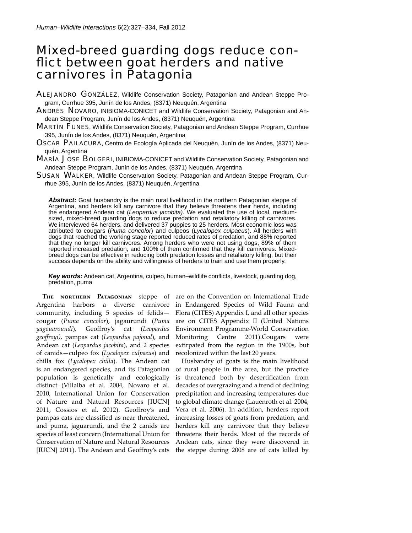# Mixed-breed guarding dogs reduce conflict between goat herders and native carnivores in Patagonia

- ALEJANDRO GONZÁLEZ, Wildlife Conservation Society, Patagonian and Andean Steppe Program, Currhue 395, Junín de los Andes, (8371) Neuquén, Argentina
- ANDRÉS NOVARO, INIBIOMA-CONICET and Wildlife Conservation Society, Patagonian and Andean Steppe Program, Junín de los Andes, (8371) Neuquén, Argentina
- MARTÍN FUNES, Wildlife Conservation Society, Patagonian and Andean Steppe Program, Currhue 395, Junín de los Andes, (8371) Neuquén, Argentina
- OSCAR PAILACURA, Centro de Ecología Aplicada del Neuquén, Junín de los Andes, (8371) Neuquén, Argentina
- MARÍA JOSE BOLGERI, INIBIOMA-CONICET and Wildlife Conservation Society, Patagonian and Andean Steppe Program, Junín de los Andes, (8371) Neuquén, Argentina
- SUSAN WALKER, Wildlife Conservation Society, Patagonian and Andean Steppe Program, Currhue 395, Junín de los Andes, (8371) Neuquén, Argentina

Abstract: Goat husbandry is the main rural livelihood in the northern Patagonian steppe of Argentina, and herders kill any carnivore that they believe threatens their herds, including the endangered Andean cat (*Leopardus jacobita)*. We evaluated the use of local, mediumsized, mixed-breed guarding dogs to reduce predation and retaliatory killing of carnivores. We interviewed 64 herders, and delivered 37 puppies to 25 herders. Most economic loss was attributed to cougars (*Puma concolor*) and culpeos (*Lycalopex culpaeus*). All herders with dogs that reached the working stage reported reduced rates of predation, and 88% reported that they no longer kill carnivores. Among herders who were not using dogs, 89% of them reported increased predation, and 100% of them confirmed that they kill carnivores. Mixedbreed dogs can be effective in reducing both predation losses and retaliatory killing, but their success depends on the ability and willingness of herders to train and use them properly.

**Key words:** Andean cat, Argentina, culpeo, human–wildlife conflicts, livestock, guarding dog, predation, puma

**The northern Patagonian** steppe of Argentina harbors a diverse carnivore community, including 5 species of felids cougar (*Puma concolor*), jagaurundi (*Puma yagouaroundi*)*,* Geoff roy's cat (*Leopardus geoff royi)*, pampas cat (*Leopardus pajonal*), and Andean cat (*Leopardus jacobita*), and 2 species of canids—culpeo fox (*Lycalopex culpaeus*) and chilla fox (*Lycalopex chilla*). The Andean cat is an endangered species, and its Patagonian population is genetically and ecologically distinct (Villalba et al. 2004, Novaro et al. 2010, International Union for Conservation of Nature and Natural Resources [IUCN] 2011, Cossios et al. 2012). Geoffroy's and pampas cats are classified as near threatened, and puma, jaguarundi, and the 2 canids are species of least concern (International Union for Conservation of Nature and Natural Resources

are on the Convention on International Trade in Endangered Species of Wild Fauna and Flora (CITES) Appendix I, and all other species are on CITES Appendix II (United Nations Environment Programme-World Conservation Monitoring Centre 2011).Cougars were extirpated from the region in the 1900s, but recolonized within the last 20 years.

[IUCN] 2011). The Andean and Geoffroy's cats the steppe during 2008 are of cats killed by Husbandry of goats is the main livelihood of rural people in the area, but the practice is threatened both by desertification from decades of overgrazing and a trend of declining precipitation and increasing temperatures due to global climate change (Lauenroth et al. 2004, Vera et al. 2006). In addition, herders report increasing losses of goats from predation, and herders kill any carnivore that they believe threatens their herds. Most of the records of Andean cats, since they were discovered in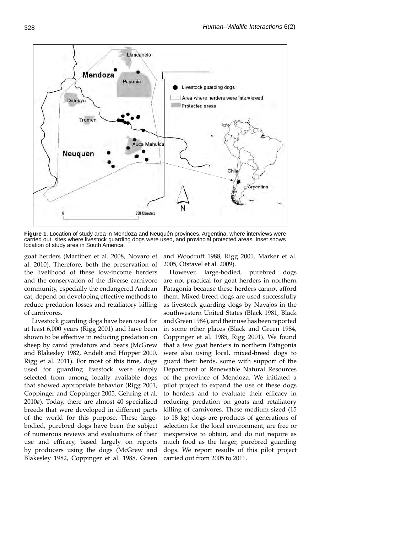

**Figure 1**. Location of study area in Mendoza and Neuquén provinces, Argentina, where interviews were carried out, sites where livestock guarding dogs were used, and provincial protected areas. Inset shows location of study area in South America.

goat herders (Martinez et al. 2008, Novaro et and Woodruff 1988, Rigg 2001, Marker et al. al. 2010). Therefore, both the preservation of the livelihood of these low-income herders and the conservation of the diverse carnivore community, especially the endangered Andean cat, depend on developing effective methods to reduce predation losses and retaliatory killing of carnivores.

 Livestock guarding dogs have been used for at least 6,000 years (Rigg 2001) and have been shown to be effective in reducing predation on sheep by canid predators and bears (McGrew and Blakesley 1982, Andelt and Hopper 2000, Rigg et al. 2011). For most of this time, dogs used for guarding livestock were simply selected from among locally available dogs that showed appropriate behavior (Rigg 2001, Coppinger and Coppinger 2005, Gehring et al. 2010*a*). Today, there are almost 40 specialized breeds that were developed in different parts of the world for this purpose. These largebodied, purebred dogs have been the subject of numerous reviews and evaluations of their use and efficacy, based largely on reports by producers using the dogs (McGrew and Blakesley 1982, Coppinger et al. 1988, Green

2005, Otstavel et al. 2009).

However, large-bodied, purebred dogs are not practical for goat herders in northern Patagonia because these herders cannot afford them. Mixed-breed dogs are used successfully as livestock guarding dogs by Navajos in the southwestern United States (Black 1981, Black and Green 1984), and their use has been reported in some other places (Black and Green 1984, Coppinger et al. 1985, Rigg 2001). We found that a few goat herders in northern Patagonia were also using local, mixed-breed dogs to guard their herds, some with support of the Department of Renewable Natural Resources of the province of Mendoza. We initiated a pilot project to expand the use of these dogs to herders and to evaluate their efficacy in reducing predation on goats and retaliatory killing of carnivores. These medium-sized (15 to 18 kg) dogs are products of generations of selection for the local environment, are free or inexpensive to obtain, and do not require as much food as the larger, purebred guarding dogs. We report results of this pilot project carried out from 2005 to 2011.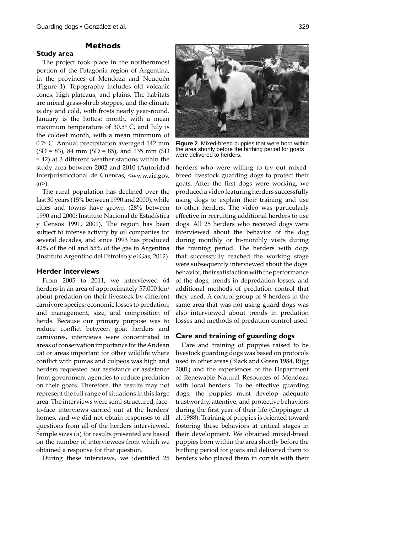**Study area**

# **Methods**

The project took place in the northernmost portion of the Patagonia region of Argentina, in the provinces of Mendoza and Neuquén (Figure 1). Topography includes old volcanic cones, high plateaus, and plains. The habitats are mixed grass-shrub steppes, and the climate is dry and cold, with frosts nearly year-round. January is the hottest month, with a mean maximum temperature of  $30.5^{\circ}$  C, and July is the coldest month, with a mean minimum of 0.7o C. Annual precipitation averaged 142 mm (SD = 83), 84 mm (SD = 85), and 135 mm (SD  $= 42$ ) at 3 different weather stations within the study area between 2002 and 2010 (Autoridad Interjurisdiccional de Cuencas, <www.aic.gov. ar>).

The rural population has declined over the last 30 years (15% between 1990 and 2000), while cities and towns have grown (28% between 1990 and 2000; Instituto Nacional de Estadística y Censos 1991, 2001). The region has been subject to intense activity by oil companies for several decades, and since 1993 has produced 42% of the oil and 55% of the gas in Argentina (Instituto Argentino del Petróleo y el Gas, 2012).

### **Herder interviews**

From 2005 to 2011, we interviewed 64 herders in an area of approximately 57,000 km<sup>2</sup> about predation on their livestock by different carnivore species; economic losses to predation; and management, size, and composition of herds. Because our primary purpose was to reduce conflict between goat herders and carnivores, interviews were concentrated in areas of conservation importance for the Andean cat or areas important for other wildlife where conflict with pumas and culpeos was high and herders requested our assistance or assistance from government agencies to reduce predation on their goats. Therefore, the results may not represent the full range of situations in this large area. The interviews were semi-structured, faceto-face interviews carried out at the herders' homes, and we did not obtain responses to all questions from all of the herders interviewed. Sample sizes (*n*) for results presented are based on the number of interviewees from which we obtained a response for that question.

During these interviews, we identified 25



**Figure 2**. Mixed-breed puppies that were born within the area shortly before the birthing period for goats were delivered to herders.

herders who were willing to try out mixedbreed livestock guarding dogs to protect their goats. After the first dogs were working, we produced a video featuring herders successfully using dogs to explain their training and use to other herders. The video was particularly effective in recruiting additional herders to use dogs. All 25 herders who received dogs were interviewed about the behavior of the dog during monthly or bi-monthly visits during the training period. The herders with dogs that successfully reached the working stage were subsequently interviewed about the dogs' behavior, their satisfaction with the performance of the dogs, trends in depredation losses, and additional methods of predation control that they used. A control group of 9 herders in the same area that was not using guard dogs was also interviewed about trends in predation losses and methods of predation control used.

## **Care and training of guarding dogs**

Care and training of puppies raised to be livestock guarding dogs was based on protocols used in other areas (Black and Green 1984, Rigg 2001) and the experiences of the Department of Renewable Natural Resources of Mendoza with local herders. To be effective guarding dogs, the puppies must develop adequate trustworthy, attentive, and protective behaviors during the first year of their life (Coppinger et al. 1988). Training of puppies is oriented toward fostering these behaviors at critical stages in their development. We obtained mixed-breed puppies born within the area shortly before the birthing period for goats and delivered them to herders who placed them in corrals with their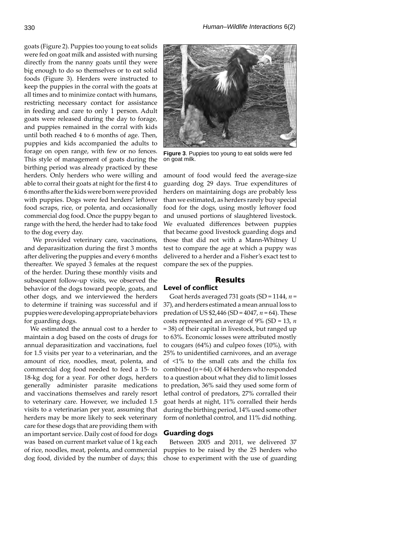goats (Figure 2). Puppies too young to eat solids were fed on goat milk and assisted with nursing directly from the nanny goats until they were big enough to do so themselves or to eat solid foods (Figure 3). Herders were instructed to keep the puppies in the corral with the goats at all times and to minimize contact with humans, restricting necessary contact for assistance in feeding and care to only 1 person. Adult goats were released during the day to forage, and puppies remained in the corral with kids until both reached 4 to 6 months of age. Then, puppies and kids accompanied the adults to forage on open range, with few or no fences. This style of management of goats during the birthing period was already practiced by these herders. Only herders who were willing and able to corral their goats at night for the first 4 to 6 months after the kids were born were provided with puppies. Dogs were fed herders' leftover food scraps, rice, or polenta, and occasionally commercial dog food. Once the puppy began to range with the herd, the herder had to take food to the dog every day.

 We provided veterinary care, vaccinations, and deparasitization during the first 3 months after delivering the puppies and every 6 months thereafter. We spayed 3 females at the request of the herder. During these monthly visits and subsequent follow-up visits, we observed the behavior of the dogs toward people, goats, and other dogs, and we interviewed the herders to determine if training was successful and if puppies were developing appropriate behaviors for guarding dogs.

We estimated the annual cost to a herder to maintain a dog based on the costs of drugs for annual deparasitization and vaccinations, fuel for 1.5 visits per year to a veterinarian, and the amount of rice, noodles, meat, polenta, and commercial dog food needed to feed a 15- to 18-kg dog for a year. For other dogs, herders generally administer parasite medications and vaccinations themselves and rarely resort to veterinary care. However, we included 1.5 visits to a veterinarian per year, assuming that herders may be more likely to seek veterinary care for these dogs that are providing them with an important service. Daily cost of food for dogs was based on current market value of 1 kg each of rice, noodles, meat, polenta, and commercial dog food, divided by the number of days; this



**Figure 3**. Puppies too young to eat solids were fed on goat milk.

amount of food would feed the average-size guarding dog 29 days. True expenditures of herders on maintaining dogs are probably less than we estimated, as herders rarely buy special food for the dogs, using mostly leftover food and unused portions of slaughtered livestock. We evaluated differences between puppies that became good livestock guarding dogs and those that did not with a Mann-Whitney U test to compare the age at which a puppy was delivered to a herder and a Fisher's exact test to compare the sex of the puppies.

# **Results**

# **Level of conflict**

Goat herds averaged 731 goats (SD = 1144, *n* = 37), and herders estimated a mean annual loss to predation of US \$2,446 (SD = 4047, *n* = 64). These costs represented an average of 9% (SD = 13, *n* = 38) of their capital in livestock, but ranged up to 63%. Economic losses were attributed mostly to cougars (64%) and culpeo foxes (10%), with 25% to unidentified carnivores, and an average of <1% to the small cats and the chilla fox combined (*n* = 64). Of 44 herders who responded to a question about what they did to limit losses to predation, 36% said they used some form of lethal control of predators, 27% corralled their goat herds at night, 11% corralled their herds during the birthing period, 14% used some other form of nonlethal control, and 11% did nothing.

## **Guarding dogs**

Between 2005 and 2011, we delivered 37 puppies to be raised by the 25 herders who chose to experiment with the use of guarding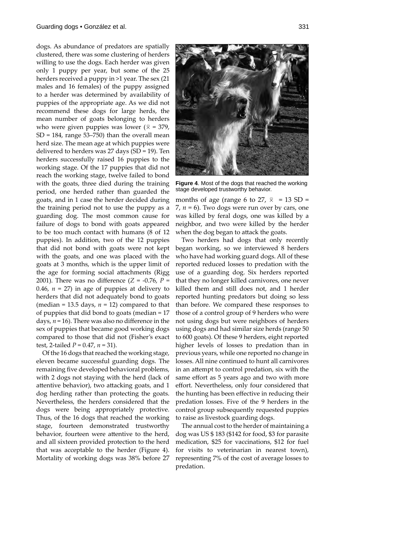dogs. As abundance of predators are spatially clustered, there was some clustering of herders willing to use the dogs. Each herder was given only 1 puppy per year, but some of the 25 herders received a puppy in >1 year. The sex (21 males and 16 females) of the puppy assigned to a herder was determined by availability of puppies of the appropriate age. As we did not recommend these dogs for large herds, the mean number of goats belonging to herders who were given puppies was lower ( $\bar{x}$  = 379,  $SD = 184$ , range 53–750) than the overall mean herd size. The mean age at which puppies were delivered to herders was 27 days (SD = 19). Ten herders successfully raised 16 puppies to the working stage. Of the 17 puppies that did not reach the working stage, twelve failed to bond with the goats, three died during the training period, one herded rather than guarded the goats, and in 1 case the herder decided during the training period not to use the puppy as a guarding dog. The most common cause for failure of dogs to bond with goats appeared to be too much contact with humans (8 of 12 puppies). In addition, two of the 12 puppies that did not bond with goats were not kept with the goats, and one was placed with the goats at 3 months, which is the upper limit of the age for forming social attachments (Rigg 2001). There was no difference  $(Z = -0.76, P =$ 0.46,  $n = 27$ ) in age of puppies at delivery to herders that did not adequately bond to goats (median = 13.5 days,  $n = 12$ ) compared to that of puppies that did bond to goats (median = 17 days,  $n = 16$ ). There was also no difference in the sex of puppies that became good working dogs compared to those that did not (Fisher's exact test, 2-tailed *P* = 0.47, *n* = 31).

Of the 16 dogs that reached the working stage, eleven became successful guarding dogs. The remaining five developed behavioral problems, with 2 dogs not staying with the herd (lack of attentive behavior), two attacking goats, and 1 dog herding rather than protecting the goats. Nevertheless, the herders considered that the dogs were being appropriately protective. Thus, of the 16 dogs that reached the working stage, fourteen demonstrated trustworthy behavior, fourteen were attentive to the herd, and all sixteen provided protection to the herd that was acceptable to the herder (Figure 4). Mortality of working dogs was 38% before 27



**Figure 4.** Most of the dogs that reached the working stage developed trustworthy behavior.

months of age (range 6 to 27,  $\bar{x}$  = 13 SD = 7,  $n = 6$ ). Two dogs were run over by cars, one was killed by feral dogs, one was killed by a neighbor, and two were killed by the herder when the dog began to attack the goats.

Two herders had dogs that only recently began working, so we interviewed 8 herders who have had working guard dogs. All of these reported reduced losses to predation with the use of a guarding dog. Six herders reported that they no longer killed carnivores, one never killed them and still does not, and 1 herder reported hunting predators but doing so less than before. We compared these responses to those of a control group of 9 herders who were not using dogs but were neighbors of herders using dogs and had similar size herds (range 50 to 600 goats). Of these 9 herders, eight reported higher levels of losses to predation than in previous years, while one reported no change in losses. All nine continued to hunt all carnivores in an attempt to control predation, six with the same effort as 5 years ago and two with more effort. Nevertheless, only four considered that the hunting has been effective in reducing their predation losses. Five of the 9 herders in the control group subsequently requested puppies to raise as livestock guarding dogs.

The annual cost to the herder of maintaining a dog was US \$ 183 (\$142 for food, \$3 for parasite medication, \$25 for vaccinations, \$12 for fuel for visits to veterinarian in nearest town), representing 7% of the cost of average losses to predation.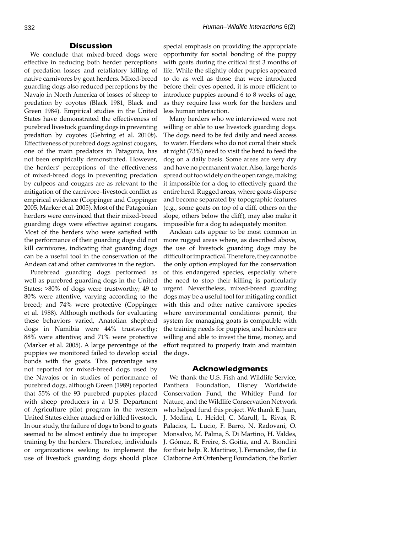#### **Discussion**

We conclude that mixed-breed dogs were effective in reducing both herder perceptions of predation losses and retaliatory killing of native carnivores by goat herders. Mixed-breed guarding dogs also reduced perceptions by the Navajo in North America of losses of sheep to predation by coyotes (Black 1981, Black and Green 1984). Empirical studies in the United States have demonstrated the effectiveness of purebred livestock guarding dogs in preventing predation by coyotes (Gehring et al. 2010*b*). Effectiveness of purebred dogs against cougars, one of the main predators in Patagonia, has not been empirically demonstrated. However, the herders' perceptions of the effectiveness of mixed-breed dogs in preventing predation by culpeos and cougars are as relevant to the mitigation of the carnivore-livestock conflict as empirical evidence (Coppinger and Coppinger 2005, Marker et al. 2005). Most of the Patagonian herders were convinced that their mixed-breed guarding dogs were effective against cougars. Most of the herders who were satisfied with the performance of their guarding dogs did not kill carnivores, indicating that guarding dogs can be a useful tool in the conservation of the Andean cat and other carnivores in the region.

Purebread guarding dogs performed as well as purebred guarding dogs in the United States: >80% of dogs were trustworthy; 49 to 80% were attentive, varying according to the breed; and 74% were protective (Coppinger et al. 1988). Although methods for evaluating these behaviors varied, Anatolian shepherd dogs in Namibia were 44% trustworthy; 88% were attentive; and 71% were protective (Marker et al. 2005). A large percentage of the puppies we monitored failed to develop social bonds with the goats. This percentage was not reported for mixed-breed dogs used by the Navajos or in studies of performance of purebred dogs, although Green (1989) reported that 55% of the 93 purebred puppies placed with sheep producers in a U.S. Department of Agriculture pilot program in the western United States either attacked or killed livestock. In our study, the failure of dogs to bond to goats seemed to be almost entirely due to improper training by the herders. Therefore, individuals or organizations seeking to implement the use of livestock guarding dogs should place

special emphasis on providing the appropriate opportunity for social bonding of the puppy with goats during the critical first 3 months of life. While the slightly older puppies appeared to do as well as those that were introduced before their eyes opened, it is more efficient to introduce puppies around 6 to 8 weeks of age, as they require less work for the herders and less human interaction.

Many herders who we interviewed were not willing or able to use livestock guarding dogs. The dogs need to be fed daily and need access to water. Herders who do not corral their stock at night (73%) need to visit the herd to feed the dog on a daily basis. Some areas are very dry and have no permanent water. Also, large herds spread out too widely on the open range, making it impossible for a dog to effectively guard the entire herd. Rugged areas, where goats disperse and become separated by topographic features (e.g., some goats on top of a cliff, others on the slope, others below the cliff), may also make it impossible for a dog to adequately monitor.

Andean cats appear to be most common in more rugged areas where, as described above, the use of livestock guarding dogs may be difficult or impractical. Therefore, they cannot be the only option employed for the conservation of this endangered species, especially where the need to stop their killing is particularly urgent. Nevertheless, mixed-breed guarding dogs may be a useful tool for mitigating conflict with this and other native carnivore species where environmental conditions permit, the system for managing goats is compatible with the training needs for puppies, and herders are willing and able to invest the time, money, and effort required to properly train and maintain the dogs.

#### **Acknowledgments**

We thank the U.S. Fish and Wildlife Service, Panthera Foundation, Disney Worldwide Conservation Fund, the Whitley Fund for Nature, and the Wildlife Conservation Network who helped fund this project. We thank E. Juan, J. Medina, L. Heidel, C. Marull, L. Rivas, R. Palacios, L. Lucio, F. Barro, N. Radovani, O. Monsalvo, M. Palma, S. Di Martino, H. Valdes, J. Gómez, R. Freire, S. Goitía, and A. Biondini for their help. R. Martinez, J. Fernandez, the Liz Claiborne Art Ortenberg Foundation, the Butler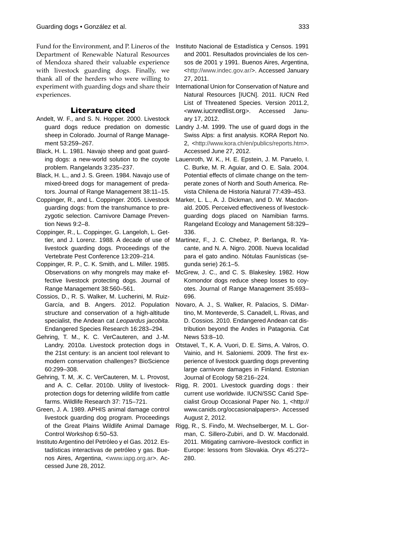Fund for the Environment, and P. Lineros of the Department of Renewable Natural Resources of Mendoza shared their valuable experience with livestock guarding dogs. Finally, we thank all of the herders who were willing to experiment with guarding dogs and share their experiences.

# **Literature cited**

- Andelt, W. F., and S. N. Hopper. 2000. Livestock guard dogs reduce predation on domestic sheep in Colorado. Journal of Range Management 53:259–267.
- Black, H. L. 1981. Navajo sheep and goat guarding dogs: a new-world solution to the coyote problem. Rangelands 3:235–237.
- Black, H. L., and J. S. Green. 1984. Navajo use of mixed-breed dogs for management of predators. Journal of Range Management 38:11–15.
- Coppinger, R., and L. Coppinger. 2005. Livestock guarding dogs: from the transhumance to prezygotic selection. Carnivore Damage Prevention News 9:2–8.
- Coppinger, R., L. Coppinger, G. Langeloh, L. Gettler, and J. Lorenz. 1988. A decade of use of livestock guarding dogs. Proceedings of the Vertebrate Pest Conference 13:209–214.
- Coppinger, R. P., C. K. Smith, and L. Miller. 1985. Observations on why mongrels may make effective livestock protecting dogs. Journal of Range Management 38:560–561.
- Cossios, D., R. S. Walker, M. Lucherini, M. Ruiz-García, and B. Angers. 2012. Population structure and conservation of a high-altitude specialist, the Andean cat *Leopardus jacobita*. Endangered Species Research 16:283–294.
- Gehring, T. M., K. C. VerCauteren, and J.-M. Landry. 2010*a*. Livestock protection dogs in the 21st century: is an ancient tool relevant to modern conservation challenges? BioScience 60:299–308.
- Gehring, T. M, .K. C. VerCauteren, M. L. Provost, and A. C. Cellar. 2010*b*. Utility of livestockprotection dogs for deterring wildlife from cattle farms. Wildlife Research 37: 715–721.
- Green, J. A. 1989. APHIS animal damage control livestock guarding dog program. Proceedings of the Great Plains Wildlife Animal Damage Control Workshop 6:50–53.
- Instituto Argentino del Petróleo y el Gas. 2012. Estadísticas interactivas de petróleo y gas. Buenos Aires, Argentina, <www.iapg.org.ar>. Accessed June 28, 2012.
- Instituto Nacional de Estadística y Censos. 1991 and 2001. Resultados provinciales de los censos de 2001 y 1991. Buenos Aires, Argentina, <http://www.indec.gov.ar/>. Accessed January 27, 2011.
- International Union for Conservation of Nature and Natural Resources [IUCN]. 2011. IUCN Red List of Threatened Species. Version 2011.2, <www.iucnredlist.org>. Accessed January 17, 2012.
- Landry J.-M. 1999. The use of guard dogs in the Swiss Alps: a first analysis. KORA Report No. 2, <http://www.kora.ch/en/publics/reports.htm>. Accessed June 27, 2012.
- Lauenroth, W. K., H. E. Epstein, J. M. Paruelo, I. C. Burke, M. R. Aguiar, and O. E. Sala. 2004. Potential effects of climate change on the temperate zones of North and South America. Revista Chilena de Historia Natural 77:439–453.
- Marker, L. L., A. J. Dickman, and D. W. Macdonald. 2005. Perceived effectiveness of livestockguarding dogs placed on Namibian farms. Rangeland Ecology and Management 58:329– 336.
- Martinez, F., J. C. Chebez, P. Berlanga, R. Yacante, and N. A. Nigro. 2008. Nueva localidad para el gato andino. Nótulas Faunísticas (segunda serie) 26:1–5.
- McGrew, J. C., and C. S. Blakesley. 1982. How Komondor dogs reduce sheep losses to coyotes. Journal of Range Management 35:693– 696.
- Novaro, A. J., S. Walker, R. Palacios, S. DiMartino, M. Monteverde, S. Canadell, L. Rivas, and D. Cossios. 2010. Endangered Andean cat distribution beyond the Andes in Patagonia. Cat News 53:8–10.
- Otstavel, T., K. A. Vuori, D. E. Sims, A. Valros, O. Vainio, and H. Saloniemi. 2009. The first experience of livestock guarding dogs preventing large carnivore damages in Finland. Estonian Journal of Ecology 58:216–224.
- Rigg, R. 2001. Livestock guarding dogs : their current use worldwide. IUCN/SSC Canid Specialist Group Occasional Paper No. 1, <http:// www.canids.org/occasionalpapers>. Accessed August 2, 2012.
- Rigg, R., S. Finďo, M. Wechselberger, M. L. Gorman, C. Sillero-Zubiri, and D. W. Macdonald. 2011. Mitigating carnivore–livestock conflict in Europe: lessons from Slovakia. Oryx 45:272– 280.